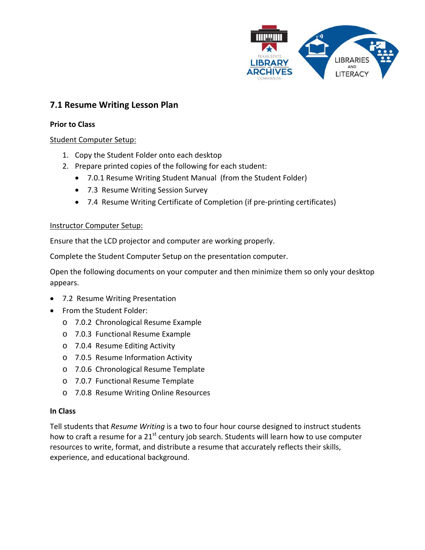

# **7.1 Resume Writing Lesson Plan**

# **Prior to Class**

# Student Computer Setup:

- 1. Copy the Student Folder onto each desktop
- 2. Prepare printed copies of the following for each student:
	- 7.0.1 Resume Writing Student Manual (from the Student Folder)
	- 7.3 Resume Writing Session Survey
	- 7.4 Resume Writing Certificate of Completion (if pre-printing certificates)

# Instructor Computer Setup:

Ensure that the LCD projector and computer are working properly.

Complete the Student Computer Setup on the presentation computer.

Open the following documents on your computer and then minimize them so only your desktop appears.

- 7.2 Resume Writing Presentation
- From the Student Folder:
	- o 7.0.2 Chronological Resume Example
	- o 7.0.3 Functional Resume Example
	- o 7.0.4 Resume Editing Activity
	- o 7.0.5 Resume Information Activity
	- o 7.0.6 Chronological Resume Template
	- o 7.0.7 Functional Resume Template
	- o 7.0.8 Resume Writing Online Resources

### **In Class**

Tell students that *Resume Writing* is a two to four hour course designed to instruct students how to craft a resume for a 21<sup>st</sup> century job search. Students will learn how to use computer resources to write, format, and distribute a resume that accurately reflects their skills, experience, and educational background.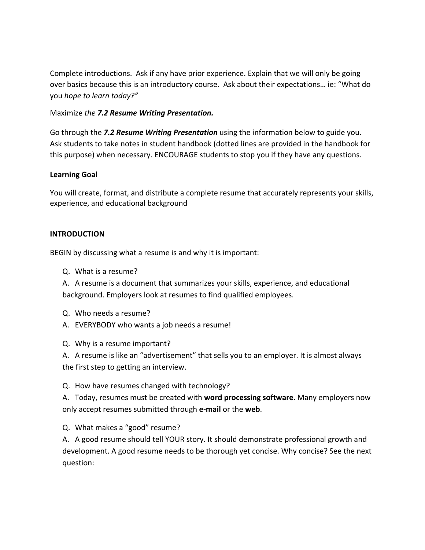Complete introductions. Ask if any have prior experience. Explain that we will only be going over basics because this is an introductory course. Ask about their expectations… ie: "What do you *hope to learn today?"*

# Maximize *the 7.2 Resume Writing Presentation.*

Go through the *7.2 Resume Writing Presentation* using the information below to guide you. Ask students to take notes in student handbook (dotted lines are provided in the handbook for this purpose) when necessary. ENCOURAGE students to stop you if they have any questions.

### **Learning Goal**

You will create, format, and distribute a complete resume that accurately represents your skills, experience, and educational background

### **INTRODUCTION**

BEGIN by discussing what a resume is and why it is important:

Q. What is a resume?

A. A resume is a document that summarizes your skills, experience, and educational background. Employers look at resumes to find qualified employees.

- Q. Who needs a resume?
- A. EVERYBODY who wants a job needs a resume!
- Q. Why is a resume important?

A. A resume is like an "advertisement" that sells you to an employer. It is almost always the first step to getting an interview.

Q. How have resumes changed with technology?

A. Today, resumes must be created with **word processing software**. Many employers now only accept resumes submitted through **e-mail** or the **web**.

Q. What makes a "good" resume?

A. A good resume should tell YOUR story. It should demonstrate professional growth and development. A good resume needs to be thorough yet concise. Why concise? See the next question: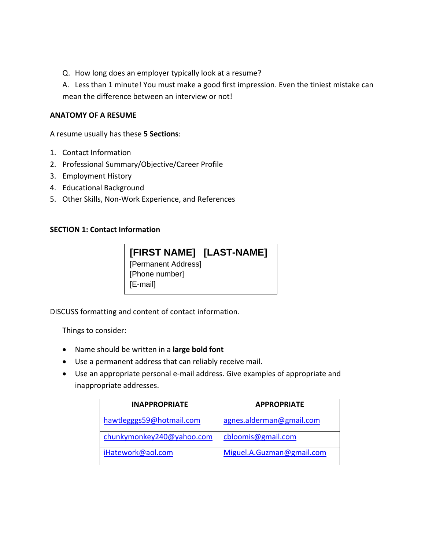Q. How long does an employer typically look at a resume?

A. Less than 1 minute! You must make a good first impression. Even the tiniest mistake can mean the difference between an interview or not!

# **ANATOMY OF A RESUME**

A resume usually has these **5 Sections**:

- 1. Contact Information
- 2. Professional Summary/Objective/Career Profile
- 3. Employment History
- 4. Educational Background
- 5. Other Skills, Non-Work Experience, and References

# **SECTION 1: Contact Information**

**[FIRST NAME] [LAST-NAME]** [Permanent Address] [Phone number] [E-mail]

DISCUSS formatting and content of contact information.

Things to consider:

- Name should be written in a **large bold font**
- Use a permanent address that can reliably receive mail.
- Use an appropriate personal e-mail address. Give examples of appropriate and inappropriate addresses.

| <b>INAPPROPRIATE</b>      | <b>APPROPRIATE</b>        |
|---------------------------|---------------------------|
| hawtlegggs59@hotmail.com  | agnes.alderman@gmail.com  |
| chunkymonkey240@yahoo.com | cbloomis@gmail.com        |
| iHatework@aol.com         | Miguel.A.Guzman@gmail.com |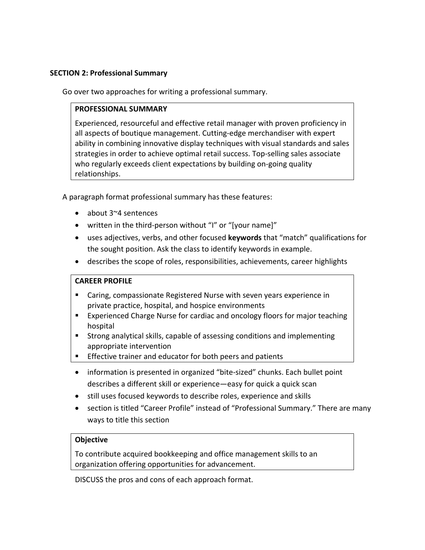# **SECTION 2: Professional Summary**

Go over two approaches for writing a professional summary.

# **PROFESSIONAL SUMMARY**

Experienced, resourceful and effective retail manager with proven proficiency in all aspects of boutique management. Cutting-edge merchandiser with expert ability in combining innovative display techniques with visual standards and sales strategies in order to achieve optimal retail success. Top-selling sales associate who regularly exceeds client expectations by building on-going quality relationships.

A paragraph format professional summary has these features:

- about 3~4 sentences
- written in the third-person without "I" or "[your name]"
- uses adjectives, verbs, and other focused **keywords** that "match" qualifications for the sought position. Ask the class to identify keywords in example.
- describes the scope of roles, responsibilities, achievements, career highlights

# **CAREER PROFILE**

- Caring, compassionate Registered Nurse with seven years experience in private practice, hospital, and hospice environments
- **Experienced Charge Nurse for cardiac and oncology floors for major teaching** hospital
- Strong analytical skills, capable of assessing conditions and implementing appropriate intervention
- **Effective trainer and educator for both peers and patients**
- information is presented in organized "bite-sized" chunks. Each bullet point describes a different skill or experience—easy for quick a quick scan
- still uses focused keywords to describe roles, experience and skills
- section is titled "Career Profile" instead of "Professional Summary." There are many ways to title this section

# **Objective**

To contribute acquired bookkeeping and office management skills to an organization offering opportunities for advancement.

DISCUSS the pros and cons of each approach format.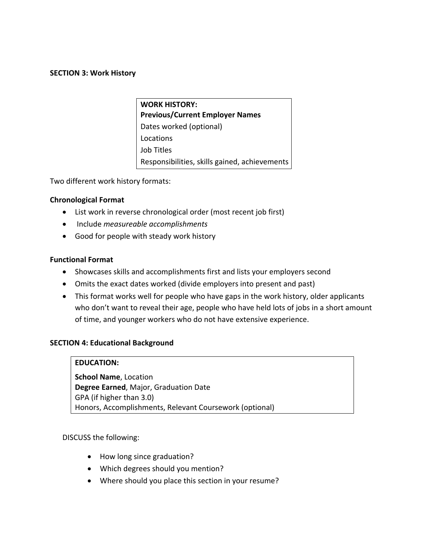### **SECTION 3: Work History**

**WORK HISTORY: Previous/Current Employer Names** Dates worked (optional) Locations Job Titles Responsibilities, skills gained, achievements

Two different work history formats:

# **Chronological Format**

- List work in reverse chronological order (most recent job first)
- Include *measureable accomplishments*
- Good for people with steady work history

# **Functional Format**

- Showcases skills and accomplishments first and lists your employers second
- Omits the exact dates worked (divide employers into present and past)
- This format works well for people who have gaps in the work history, older applicants who don't want to reveal their age, people who have held lots of jobs in a short amount of time, and younger workers who do not have extensive experience.

### **SECTION 4: Educational Background**

### **EDUCATION:**

**School Name**, Location **Degree Earned**, Major, Graduation Date GPA (if higher than 3.0) Honors, Accomplishments, Relevant Coursework (optional)

### DISCUSS the following:

- How long since graduation?
- Which degrees should you mention?
- Where should you place this section in your resume?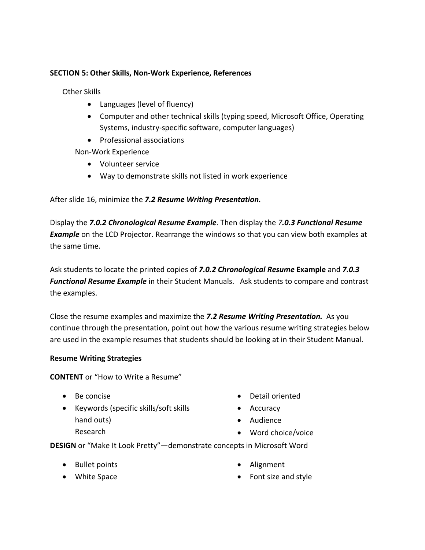# **SECTION 5: Other Skills, Non-Work Experience, References**

Other Skills

- Languages (level of fluency)
- Computer and other technical skills (typing speed, Microsoft Office, Operating Systems, industry-specific software, computer languages)
- Professional associations

Non-Work Experience

- Volunteer service
- Way to demonstrate skills not listed in work experience

After slide 16, minimize the *7.2 Resume Writing Presentation.*

Display the *7.0.2 Chronological Resume Example*. Then display the *7.0.3 Functional Resume Example* on the LCD Projector. Rearrange the windows so that you can view both examples at the same time.

Ask students to locate the printed copies of *7.0.2 Chronological Resume* **Example** and *7.0.3 Functional Resume Example* in their Student Manuals. Ask students to compare and contrast the examples.

Close the resume examples and maximize the *7.2 Resume Writing Presentation.* As you continue through the presentation, point out how the various resume writing strategies below are used in the example resumes that students should be looking at in their Student Manual.

### **Resume Writing Strategies**

**CONTENT** or "How to Write a Resume"

- Be concise
- Keywords (specific skills/soft skills hand outs) Research
- Detail oriented
- Accuracy
- Audience
- Word choice/voice

**DESIGN** or "Make It Look Pretty"—demonstrate concepts in Microsoft Word

- Bullet points
- White Space
- Alignment
- Font size and style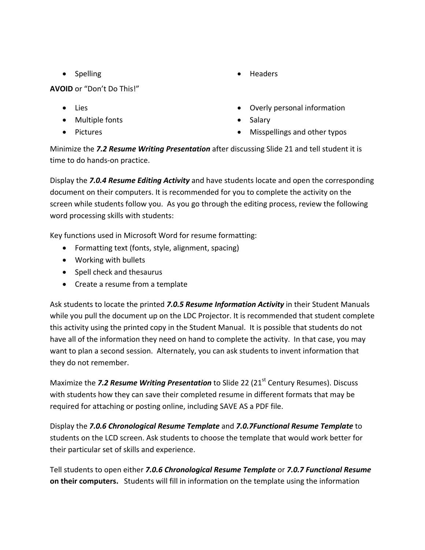• Spelling **•** Headers

**AVOID** or "Don't Do This!"

- Lies
- Multiple fonts
- Pictures
- 
- Overly personal information
- Salary
- Misspellings and other typos

Minimize the *7.2 Resume Writing Presentation* after discussing Slide 21 and tell student it is time to do hands-on practice.

Display the *7.0.4 Resume Editing Activity* and have students locate and open the corresponding document on their computers. It is recommended for you to complete the activity on the screen while students follow you. As you go through the editing process, review the following word processing skills with students:

Key functions used in Microsoft Word for resume formatting:

- Formatting text (fonts, style, alignment, spacing)
- Working with bullets
- Spell check and thesaurus
- Create a resume from a template

Ask students to locate the printed *7.0.5 Resume Information Activity* in their Student Manuals while you pull the document up on the LDC Projector. It is recommended that student complete this activity using the printed copy in the Student Manual. It is possible that students do not have all of the information they need on hand to complete the activity. In that case, you may want to plan a second session. Alternately, you can ask students to invent information that they do not remember.

Maximize the 7.2 Resume Writing Presentation to Slide 22 (21<sup>st</sup> Century Resumes). Discuss with students how they can save their completed resume in different formats that may be required for attaching or posting online, including SAVE AS a PDF file.

Display the *7.0.6 Chronological Resume Template* and *7.0.7Functional Resume Template* to students on the LCD screen. Ask students to choose the template that would work better for their particular set of skills and experience.

Tell students to open either *7.0.6 Chronological Resume Template* or *7.0.7 Functional Resume*  **on their computers.** Students will fill in information on the template using the information